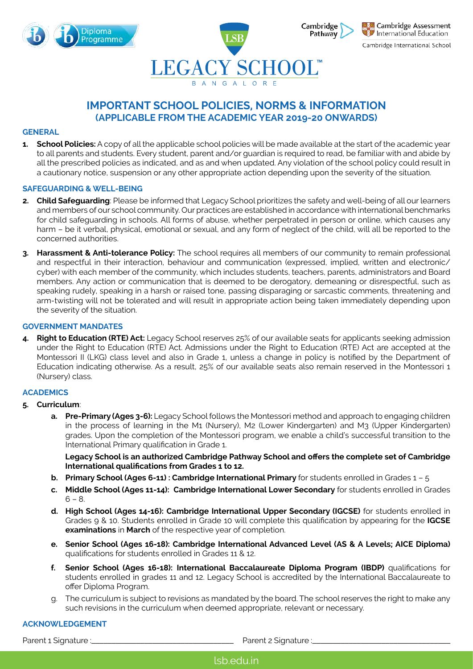



# **IMPORTANT SCHOOL POLICIES, NORMS & INFORMATION (APPLICABLE FROM THE ACADEMIC YEAR 2019-20 ONWARDS)**

#### **GENERAL**

**1. School Policies:** A copy of all the applicable school policies will be made available at the start of the academic year to all parents and students. Every student, parent and/or guardian is required to read, be familiar with and abide by all the prescribed policies as indicated, and as and when updated. Any violation of the school policy could result in a cautionary notice, suspension or any other appropriate action depending upon the severity of the situation.

#### **SAFEGUARDING & WELL-BEING**

- **2. Child Safeguarding**: Please be informed that Legacy School prioritizes the safety and well-being of all our learners and members of our school community. Our practices are established in accordance with international benchmarks for child safeguarding in schools. All forms of abuse, whether perpetrated in person or online, which causes any harm – be it verbal, physical, emotional or sexual, and any form of neglect of the child, will all be reported to the concerned authorities.
- **3. Harassment & Anti-tolerance Policy:** The school requires all members of our community to remain professional and respectful in their interaction, behaviour and communication (expressed, implied, written and electronic/ cyber) with each member of the community, which includes students, teachers, parents, administrators and Board members. Any action or communication that is deemed to be derogatory, demeaning or disrespectful, such as speaking rudely, speaking in a harsh or raised tone, passing disparaging or sarcastic comments, threatening and arm-twisting will not be tolerated and will result in appropriate action being taken immediately depending upon the severity of the situation.

#### **GOVERNMENT MANDATES**

**4. Right to Education (RTE) Act:** Legacy School reserves 25% of our available seats for applicants seeking admission under the Right to Education (RTE) Act. Admissions under the Right to Education (RTE) Act are accepted at the Montessori II (LKG) class level and also in Grade 1, unless a change in policy is notified by the Department of Education indicating otherwise. As a result, 25% of our available seats also remain reserved in the Montessori 1 (Nursery) class.

# **ACADEMICS**

# **5. Curriculum**:

**a. Pre-Primary (Ages 3-6):** Legacy School follows the Montessori method and approach to engaging children in the process of learning in the M1 (Nursery), M2 (Lower Kindergarten) and M3 (Upper Kindergarten) grades. Upon the completion of the Montessori program, we enable a child's successful transition to the International Primary qualification in Grade 1.

**Legacy School is an authorized Cambridge Pathway School and offers the complete set of Cambridge International qualifications from Grades 1 to 12.**

- **b. Primary School (Ages 6-11) : Cambridge International Primary** for students enrolled in Grades 1 5
- **c. Middle School (Ages 11-14): Cambridge International Lower Secondary** for students enrolled in Grades  $6 - 8.$
- **d. High School (Ages 14-16): Cambridge International Upper Secondary (IGCSE)** for students enrolled in Grades 9 & 10. Students enrolled in Grade 10 will complete this qualification by appearing for the **IGCSE examinations** in **March** of the respective year of completion.
- **e. Senior School (Ages 16-18): Cambridge International Advanced Level (AS & A Levels; AICE Diploma)**  qualifications for students enrolled in Grades 11 & 12.
- **f. Senior School (Ages 16-18): International Baccalaureate Diploma Program (IBDP)** qualifications for students enrolled in grades 11 and 12. Legacy School is accredited by the International Baccalaureate to offer Diploma Program.
- g. The curriculum is subject to revisions as mandated by the board. The school reserves the right to make any such revisions in the curriculum when deemed appropriate, relevant or necessary.

#### **ACKNOWLEDGEMENT**

Parent 1 Signature :\_\_\_\_\_\_\_\_\_\_\_\_\_\_\_\_\_\_\_\_\_\_\_\_\_\_\_\_\_\_\_\_\_\_\_ Parent 2 Signature :\_\_\_\_\_\_\_\_\_\_\_\_\_\_\_\_\_\_\_\_\_\_\_\_\_\_\_\_\_\_\_\_\_\_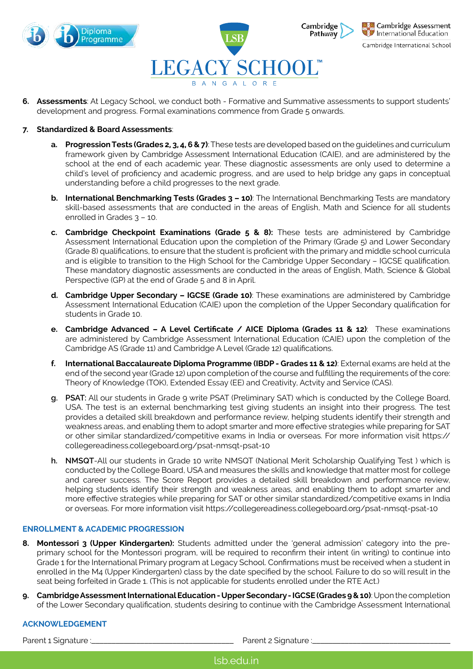



Cambridge Assessment International Education Cambridge International School

**6. Assessments**: At Legacy School, we conduct both - Formative and Summative assessments to support students' development and progress. Formal examinations commence from Grade 5 onwards.

# **7. Standardized & Board Assessments**:

- **a. Progression Tests (Grades 2, 3, 4, 6 & 7)**: These tests are developed based on the guidelines and curriculum framework given by Cambridge Assessment International Education (CAIE), and are administered by the school at the end of each academic year. These diagnostic assessments are only used to determine a child's level of proficiency and academic progress, and are used to help bridge any gaps in conceptual understanding before a child progresses to the next grade.
- **b. International Benchmarking Tests (Grades 3 10)**: The International Benchmarking Tests are mandatory skill-based assessments that are conducted in the areas of English, Math and Science for all students enrolled in Grades 3 – 10.
- **c. Cambridge Checkpoint Examinations (Grade 5 & 8):** These tests are administered by Cambridge Assessment International Education upon the completion of the Primary (Grade 5) and Lower Secondary (Grade 8) qualifications, to ensure that the student is proficient with the primary and middle school curricula and is eligible to transition to the High School for the Cambridge Upper Secondary – IGCSE qualification. These mandatory diagnostic assessments are conducted in the areas of English, Math, Science & Global Perspective (GP) at the end of Grade 5 and 8 in April.
- **d. Cambridge Upper Secondary IGCSE (Grade 10)**: These examinations are administered by Cambridge Assessment International Education (CAIE) upon the completion of the Upper Secondary qualification for students in Grade 10.
- **e. Cambridge Advanced A Level Certificate / AICE Diploma (Grades 11 & 12)**: These examinations are administered by Cambridge Assessment International Education (CAIE) upon the completion of the Cambridge AS (Grade 11) and Cambridge A Level (Grade 12) qualifications.
- **f. International Baccalaureate Diploma Programme (IBDP Grades 11 & 12)**: External exams are held at the end of the second year (Grade 12) upon completion of the course and fulfilling the requirements of the core: Theory of Knowledge (TOK), Extended Essay (EE) and Creativity, Actvity and Service (CAS).
- **g. PSAT:** All our students in Grade 9 write PSAT (Preliminary SAT) which is conducted by the College Board, USA. The test is an external benchmarking test giving students an insight into their progress. The test provides a detailed skill breakdown and performance review, helping students identify their strength and weakness areas, and enabling them to adopt smarter and more effective strategies while preparing for SAT or other similar standardized/competitive exams in India or overseas. For more information visit https:// collegereadiness.collegeboard.org/psat-nmsqt-psat-10
- **h. NMSQT**-All our students in Grade 10 write NMSQT (National Merit Scholarship Qualifying Test ) which is conducted by the College Board, USA and measures the skills and knowledge that matter most for college and career success. The Score Report provides a detailed skill breakdown and performance review, helping students identify their strength and weakness areas, and enabling them to adopt smarter and more effective strategies while preparing for SAT or other similar standardized/competitive exams in India or overseas. For more information visit https://collegereadiness.collegeboard.org/psat-nmsqt-psat-10

#### **ENROLLMENT & ACADEMIC PROGRESSION**

- **8. Montessori 3 (Upper Kindergarten):** Students admitted under the 'general admission' category into the preprimary school for the Montessori program, will be required to reconfirm their intent (in writing) to continue into Grade 1 for the International Primary program at Legacy School. Confirmations must be received when a student in enrolled in the M4 (Upper Kindergarten) class by the date specified by the school. Failure to do so will result in the seat being forfeited in Grade 1. (This is not applicable for students enrolled under the RTE Act.)
- **9. Cambridge Assessment International Education Upper Secondary IGCSE (Grades 9 & 10)**: Upon the completion of the Lower Secondary qualification, students desiring to continue with the Cambridge Assessment International

#### **ACKNOWLEDGEMENT**

Parent 1 Signature :\_\_\_\_\_\_\_\_\_\_\_\_\_\_\_\_\_\_\_\_\_\_\_\_\_\_\_\_\_\_\_\_\_\_\_ Parent 2 Signature :\_\_\_\_\_\_\_\_\_\_\_\_\_\_\_\_\_\_\_\_\_\_\_\_\_\_\_\_\_\_\_\_\_\_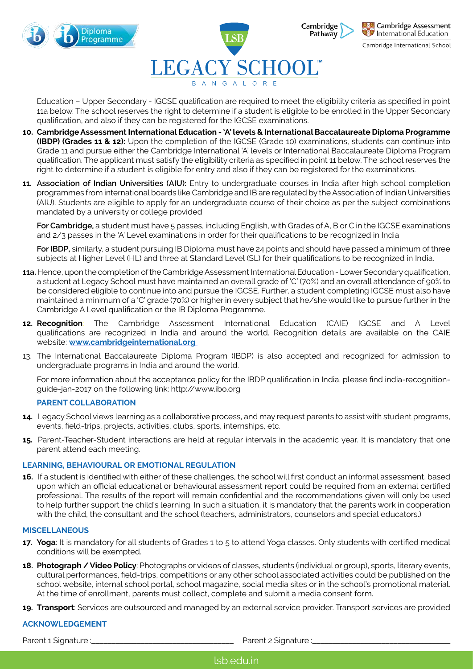



Cambridge International School

Education – Upper Secondary - IGCSE qualification are required to meet the eligibility criteria as specified in point 11a below. The school reserves the right to determine if a student is eligible to be enrolled in the Upper Secondary qualification, and also if they can be registered for the IGCSE examinations.

- **10. Cambridge Assessment International Education 'A' levels & International Baccalaureate Diploma Programme (IBDP) (Grades 11 & 12):** Upon the completion of the IGCSE (Grade 10) examinations, students can continue into Grade 11 and pursue either the Cambridge International 'A' levels or International Baccalaureate Diploma Program qualification. The applicant must satisfy the eligibility criteria as specified in point 11 below. The school reserves the right to determine if a student is eligible for entry and also if they can be registered for the examinations.
- **11. Association of Indian Universities (AIU):** Entry to undergraduate courses in India after high school completion programmes from international boards like Cambridge and IB are regulated by the Association of Indian Universities (AIU). Students are eligible to apply for an undergraduate course of their choice as per the subject combinations mandated by a university or college provided

**For Cambridge,** a student must have 5 passes, including English, with Grades of A, B or C in the IGCSE examinations and 2/3 passes in the 'A' Level examinations in order for their qualifications to be recognized in India

**For IBDP,** similarly, a student pursuing IB Diploma must have 24 points and should have passed a minimum of three subjects at Higher Level (HL) and three at Standard Level (SL) for their qualifications to be recognized in India.

- **11a.** Hence, upon the completion of the Cambridge Assessment International Education Lower Secondary qualification, a student at Legacy School must have maintained an overall grade of 'C' (70%) and an overall attendance of 90% to be considered eligible to continue into and pursue the IGCSE. Further, a student completing IGCSE must also have maintained a minimum of a 'C' grade (70%) or higher in every subject that he/she would like to pursue further in the Cambridge A Level qualification or the IB Diploma Programme.
- **12. Recognition**: The Cambridge Assessment International Education (CAIE) IGCSE and A Level qualifications are recognized in India and around the world. Recognition details are available on the CAIE website: **www.cambridgeinternational.org**
- 13. The International Baccalaureate Diploma Program (IBDP) is also accepted and recognized for admission to undergraduate programs in India and around the world.

For more information about the acceptance policy for the IBDP qualification in India, please find india-recognitionguide-jan-2017 on the following link: http://www.ibo.org

# **PARENT COLLABORATION**

- **14.** Legacy School views learning as a collaborative process, and may request parents to assist with student programs, events, field-trips, projects, activities, clubs, sports, internships, etc.
- **15.** Parent-Teacher-Student interactions are held at regular intervals in the academic year. It is mandatory that one parent attend each meeting.

# **LEARNING, BEHAVIOURAL OR EMOTIONAL REGULATION**

**16.** If a student is identified with either of these challenges, the school will first conduct an informal assessment, based upon which an official educational or behavioural assessment report could be required from an external certified professional. The results of the report will remain confidential and the recommendations given will only be used to help further support the child's learning. In such a situation, it is mandatory that the parents work in cooperation with the child, the consultant and the school (teachers, administrators, counselors and special educators.)

### **MISCELLANEOUS**

- **17. Yoga**: It is mandatory for all students of Grades 1 to 5 to attend Yoga classes. Only students with certified medical conditions will be exempted.
- **18. Photograph / Video Policy**: Photographs or videos of classes, students (individual or group), sports, literary events, cultural performances, field-trips, competitions or any other school associated activities could be published on the school website, internal school portal, school magazine, social media sites or in the school's promotional material. At the time of enrollment, parents must collect, complete and submit a media consent form.
- **19. Transport**: Services are outsourced and managed by an external service provider. Transport services are provided

# **ACKNOWLEDGEMENT**

Parent 1 Signature :\_\_\_\_\_\_\_\_\_\_\_\_\_\_\_\_\_\_\_\_\_\_\_\_\_\_\_\_\_\_\_\_\_\_\_ Parent 2 Signature :\_\_\_\_\_\_\_\_\_\_\_\_\_\_\_\_\_\_\_\_\_\_\_\_\_\_\_\_\_\_\_\_\_\_

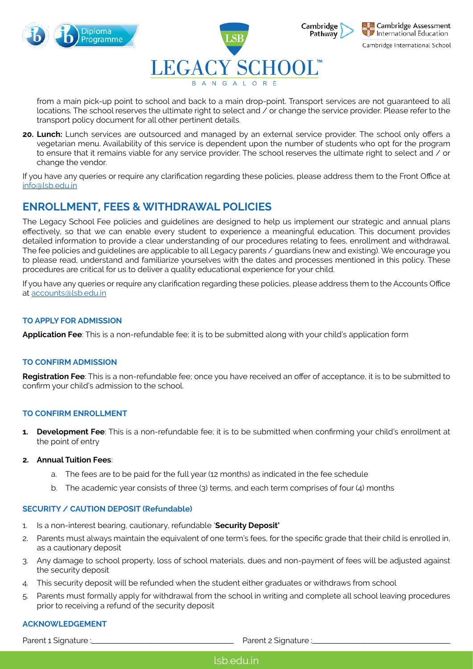



Cambridge International School

from a main pick-up point to school and back to a main drop-point. Transport services are not guaranteed to all locations. The school reserves the ultimate right to select and / or change the service provider. Please refer to the transport policy document for all other pertinent details.

**20. Lunch:** Lunch services are outsourced and managed by an external service provider. The school only offers a vegetarian menu. Availability of this service is dependent upon the number of students who opt for the program to ensure that it remains viable for any service provider. The school reserves the ultimate right to select and / or change the vendor.

If you have any queries or require any clarification regarding these policies, please address them to the Front Office at [info@lsb.edu.in](mailto:info@lsb.edu.in)

# **ENROLLMENT, FEES & WITHDRAWAL POLICIES**

The Legacy School Fee policies and guidelines are designed to help us implement our strategic and annual plans effectively, so that we can enable every student to experience a meaningful education. This document provides detailed information to provide a clear understanding of our procedures relating to fees, enrollment and withdrawal. The fee policies and guidelines are applicable to all Legacy parents / guardians (new and existing). We encourage you to please read, understand and familiarize yourselves with the dates and processes mentioned in this policy. These procedures are critical for us to deliver a quality educational experience for your child.

If you have any queries or require any clarification regarding these policies, please address them to the Accounts Office at [accounts@lsb.edu.in](mailto:accounts@lsb.edu.in)

# **TO APPLY FOR ADMISSION**

**Application Fee**: This is a non-refundable fee; it is to be submitted along with your child's application form

# **TO CONFIRM ADMISSION**

**Registration Fee**: This is a non-refundable fee; once you have received an offer of acceptance, it is to be submitted to confirm your child's admission to the school.

# **TO CONFIRM ENROLLMENT**

**1. Development Fee**: This is a non-refundable fee; it is to be submitted when confirming your child's enrollment at the point of entry

# **2. Annual Tuition Fees**:

- a. The fees are to be paid for the full year (12 months) as indicated in the fee schedule
- b. The academic year consists of three (3) terms, and each term comprises of four (4) months

# **SECURITY / CAUTION DEPOSIT (Refundable)**

- 1. Is a non-interest bearing, cautionary, refundable '**Security Deposit'**
- 2. Parents must always maintain the equivalent of one term's fees, for the specific grade that their child is enrolled in, as a cautionary deposit
- 3. Any damage to school property, loss of school materials, dues and non-payment of fees will be adjusted against the security deposit
- 4. This security deposit will be refunded when the student either graduates or withdraws from school
- 5. Parents must formally apply for withdrawal from the school in writing and complete all school leaving procedures prior to receiving a refund of the security deposit

# **ACKNOWLEDGEMENT**

Parent 1 Signature :\_\_\_\_\_\_\_\_\_\_\_\_\_\_\_\_\_\_\_\_\_\_\_\_\_\_\_\_\_\_\_\_\_\_\_ Parent 2 Signature :\_\_\_\_\_\_\_\_\_\_\_\_\_\_\_\_\_\_\_\_\_\_\_\_\_\_\_\_\_\_\_\_\_\_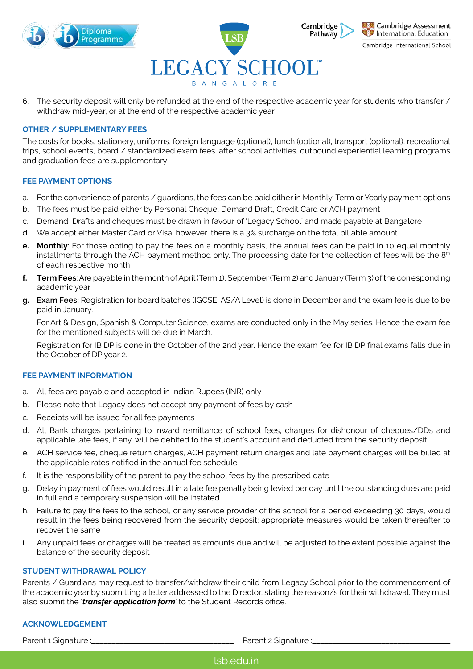



Cambridge International School

6. The security deposit will only be refunded at the end of the respective academic year for students who transfer / withdraw mid-year, or at the end of the respective academic year

#### **OTHER / SUPPLEMENTARY FEES**

The costs for books, stationery, uniforms, foreign language (optional), lunch (optional), transport (optional), recreational trips, school events, board / standardized exam fees, after school activities, outbound experiential learning programs and graduation fees are supplementary

#### **FEE PAYMENT OPTIONS**

- a. For the convenience of parents / guardians, the fees can be paid either in Monthly, Term or Yearly payment options
- b. The fees must be paid either by Personal Cheque, Demand Draft, Credit Card or ACH payment
- c. Demand Drafts and cheques must be drawn in favour of 'Legacy School' and made payable at Bangalore
- d. We accept either Master Card or Visa; however, there is a 3% surcharge on the total billable amount
- **e. Monthly**: For those opting to pay the fees on a monthly basis, the annual fees can be paid in 10 equal monthly installments through the ACH payment method only. The processing date for the collection of fees will be the 8<sup>th</sup> of each respective month
- **f. Term Fees**: Are payable in the month of April (Term 1), September (Term 2) and January (Term 3) of the corresponding academic year
- **g. Exam Fees:** Registration for board batches (IGCSE, AS/A Level) is done in December and the exam fee is due to be paid in January.

For Art & Design, Spanish & Computer Science, exams are conducted only in the May series. Hence the exam fee for the mentioned subjects will be due in March.

Registration for IB DP is done in the October of the 2nd year. Hence the exam fee for IB DP final exams falls due in the October of DP year 2.

#### **FEE PAYMENT INFORMATION**

- a. All fees are payable and accepted in Indian Rupees (INR) only
- b. Please note that Legacy does not accept any payment of fees by cash
- c. Receipts will be issued for all fee payments
- d. All Bank charges pertaining to inward remittance of school fees, charges for dishonour of cheques/DDs and applicable late fees, if any, will be debited to the student's account and deducted from the security deposit
- e. ACH service fee, cheque return charges, ACH payment return charges and late payment charges will be billed at the applicable rates notified in the annual fee schedule
- f. It is the responsibility of the parent to pay the school fees by the prescribed date
- g. Delay in payment of fees would result in a late fee penalty being levied per day until the outstanding dues are paid in full and a temporary suspension will be instated
- h. Failure to pay the fees to the school, or any service provider of the school for a period exceeding 30 days, would result in the fees being recovered from the security deposit; appropriate measures would be taken thereafter to recover the same
- i. Any unpaid fees or charges will be treated as amounts due and will be adjusted to the extent possible against the balance of the security deposit

# **STUDENT WITHDRAWAL POLICY**

Parents / Guardians may request to transfer/withdraw their child from Legacy School prior to the commencement of the academic year by submitting a letter addressed to the Director, stating the reason/s for their withdrawal. They must also submit the '*transfer application form*' to the Student Records office.

# **ACKNOWLEDGEMENT**

Parent 1 Signature :\_\_\_\_\_\_\_\_\_\_\_\_\_\_\_\_\_\_\_\_\_\_\_\_\_\_\_\_\_\_\_\_\_\_\_ Parent 2 Signature :\_\_\_\_\_\_\_\_\_\_\_\_\_\_\_\_\_\_\_\_\_\_\_\_\_\_\_\_\_\_\_\_\_\_

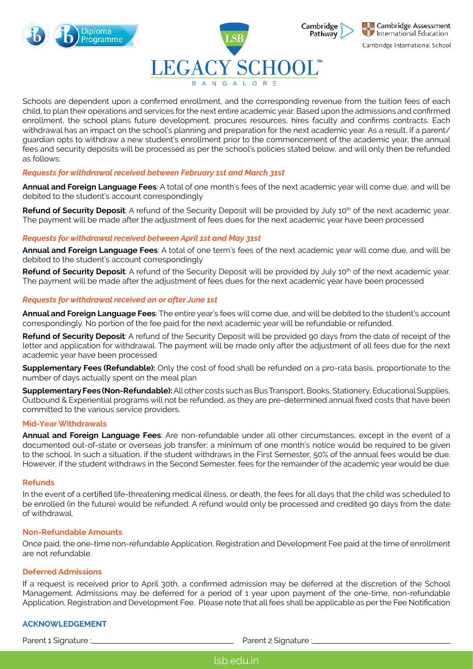

# LEGACY SCHOOL

Cambridge Assessment International Education

Cambridge

Pathway

Cambridge International School

Schools are dependent upon a confirmed enrollment, and the corresponding revenue from the tuition fees of each child, to plan their operations and services for the next entire academic year. Based upon the admissions and confirmed enrollment, the school plans future development, procures resources, hires faculty and confirms contracts. Each withdrawal has an impact on the school's planning and preparation for the next academic year. As a result, if a parent/ guardian opts to withdraw a new student's enrollment prior to the commencement of the academic year, the annual fees and security deposits will be processed as per the school's policies stated below, and will only then be refunded as follows:

# *Requests for withdrawal received between February 1st and March 31st*

**Annual and Foreign Language Fees**: A total of one month's fees of the next academic year will come due, and will be debited to the student's account correspondingly

**Refund of Security Deposit**: A refund of the Security Deposit will be provided by July 10<sup>th</sup> of the next academic year. The payment will be made after the adjustment of fees dues for the next academic year have been processed

# *Requests for withdrawal received between April 1st and May 31st*

**Annual and Foreign Language Fees**: A total of one term's fees of the next academic year will come due, and will be debited to the student's account correspondingly

**Refund of Security Deposit**: A refund of the Security Deposit will be provided by July 10<sup>th</sup> of the next academic year. The payment will be made after the adjustment of fees dues for the next academic year have been processed

# *Requests for withdrawal received on or after June 1st*

**Annual and Foreign Language Fees**: The entire year's fees will come due, and will be debited to the student's account correspondingly. No portion of the fee paid for the next academic year will be refundable or refunded.

**Refund of Security Deposit**: A refund of the Security Deposit will be provided 90 days from the date of receipt of the letter and application for withdrawal. The payment will be made only after the adjustment of all fees due for the next academic year have been processed

**Supplementary Fees (Refundable):** Only the cost of food shall be refunded on a pro-rata basis, proportionate to the number of days actually spent on the meal plan

**Supplementary Fees (Non-Refundable):** All other costs such as Bus Transport, Books, Stationery, Educational Supplies, Outbound & Experiential programs will not be refunded, as they are pre-determined annual fixed costs that have been committed to the various service providers.

# **Mid-Year Withdrawals**

**Annual and Foreign Language Fees**: Are non-refundable under all other circumstances, except in the event of a documented out-of-state or overseas job transfer; a minimum of one month's notice would be required to be given to the school. In such a situation, if the student withdraws in the First Semester, 50% of the annual fees would be due. However, if the student withdraws in the Second Semester, fees for the remainder of the academic year would be due.

# **Refunds**

In the event of a certified life-threatening medical illness, or death, the fees for all days that the child was scheduled to be enrolled (in the future) would be refunded. A refund would only be processed and credited 90 days from the date of withdrawal.

# **Non-Refundable Amounts**

Once paid, the one-time non-refundable Application, Registration and Development Fee paid at the time of enrollment are not refundable.

# **Deferred Admissions**

If a request is received prior to April 30th, a confirmed admission may be deferred at the discretion of the School Management. Admissions may be deferred for a period of 1 year upon payment of the one-time, non-refundable Application, Registration and Development Fee. Please note that all fees shall be applicable as per the Fee Notification

# **ACKNOWLEDGEMENT**

Parent 1 Signature :\_\_\_\_\_\_\_\_\_\_\_\_\_\_\_\_\_\_\_\_\_\_\_\_\_\_\_\_\_\_\_\_\_\_\_ Parent 2 Signature :\_\_\_\_\_\_\_\_\_\_\_\_\_\_\_\_\_\_\_\_\_\_\_\_\_\_\_\_\_\_\_\_\_\_